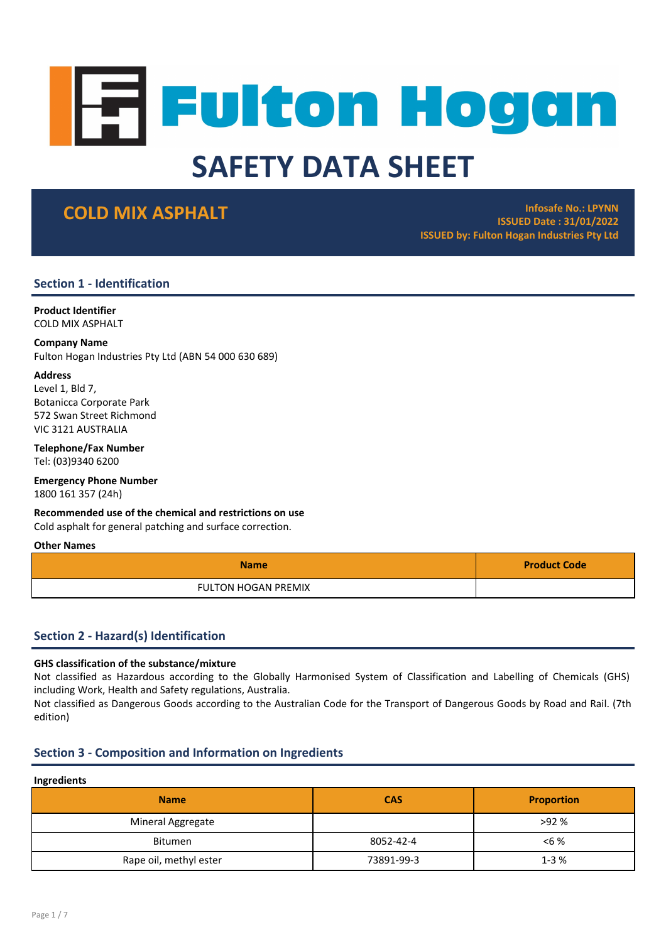# **Fulton Hogan** SAFETY DATA SHEET

**COLD MIX ASPHALT Infosafe No.: LPYNN** ISSUED Date : 31/01/2022 ISSUED by: Fulton Hogan Industries Pty Ltd

# Section 1 - Identification

Product Identifier COLD MIX ASPHALT

# Company Name

Fulton Hogan Industries Pty Ltd (ABN 54 000 630 689)

# Address

Level 1, Bld 7, Botanicca Corporate Park 572 Swan Street Richmond VIC 3121 AUSTRALIA

Telephone/Fax Number Tel: (03)9340 6200

Emergency Phone Number 1800 161 357 (24h)

Recommended use of the chemical and restrictions on use

Cold asphalt for general patching and surface correction.

# Other Names

| <b>Name</b>                | <b>Product Code</b> |
|----------------------------|---------------------|
| <b>FULTON HOGAN PREMIX</b> |                     |

# Section 2 - Hazard(s) Identification

# GHS classification of the substance/mixture

Not classified as Hazardous according to the Globally Harmonised System of Classification and Labelling of Chemicals (GHS) including Work, Health and Safety regulations, Australia.

Not classified as Dangerous Goods according to the Australian Code for the Transport of Dangerous Goods by Road and Rail. (7th edition)

# Section 3 - Composition and Information on Ingredients

# Ingredients

| <b>Name</b>            | <b>CAS</b> | <b>Proportion</b> |
|------------------------|------------|-------------------|
| Mineral Aggregate      |            | >92%              |
| <b>Bitumen</b>         | 8052-42-4  | $< 6 \%$          |
| Rape oil, methyl ester | 73891-99-3 | $1 - 3%$          |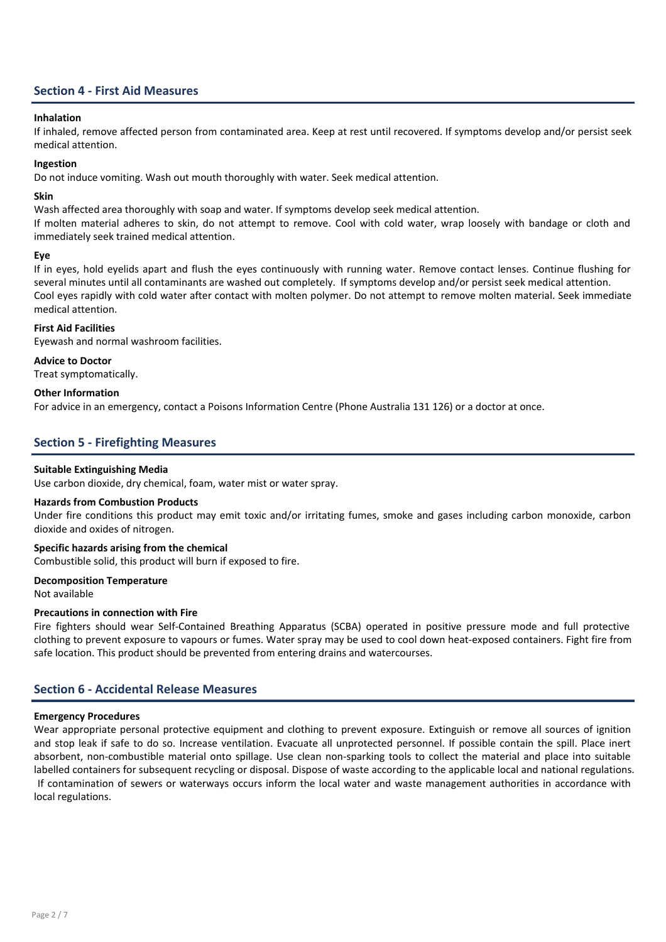# Section 4 - First Aid Measures

# Inhalation

If inhaled, remove affected person from contaminated area. Keep at rest until recovered. If symptoms develop and/or persist seek medical attention.

# Ingestion

Do not induce vomiting. Wash out mouth thoroughly with water. Seek medical attention.

# Skin

Wash affected area thoroughly with soap and water. If symptoms develop seek medical attention.

If molten material adheres to skin, do not attempt to remove. Cool with cold water, wrap loosely with bandage or cloth and immediately seek trained medical attention.

# Eye

If in eyes, hold eyelids apart and flush the eyes continuously with running water. Remove contact lenses. Continue flushing for several minutes until all contaminants are washed out completely. If symptoms develop and/or persist seek medical attention. Cool eyes rapidly with cold water after contact with molten polymer. Do not attempt to remove molten material. Seek immediate medical attention.

# First Aid Facilities

Eyewash and normal washroom facilities.

Advice to Doctor

Treat symptomatically.

# Other Information

For advice in an emergency, contact a Poisons Information Centre (Phone Australia 131 126) or a doctor at once.

# Section 5 - Firefighting Measures

# Suitable Extinguishing Media

Use carbon dioxide, dry chemical, foam, water mist or water spray.

# Hazards from Combustion Products

Under fire conditions this product may emit toxic and/or irritating fumes, smoke and gases including carbon monoxide, carbon dioxide and oxides of nitrogen.

# Specific hazards arising from the chemical

Combustible solid, this product will burn if exposed to fire.

### Decomposition Temperature

Not available

# Precautions in connection with Fire

Fire fighters should wear Self-Contained Breathing Apparatus (SCBA) operated in positive pressure mode and full protective clothing to prevent exposure to vapours or fumes. Water spray may be used to cool down heat-exposed containers. Fight fire from safe location. This product should be prevented from entering drains and watercourses.

# Section 6 - Accidental Release Measures

### Emergency Procedures

Wear appropriate personal protective equipment and clothing to prevent exposure. Extinguish or remove all sources of ignition and stop leak if safe to do so. Increase ventilation. Evacuate all unprotected personnel. If possible contain the spill. Place inert absorbent, non-combustible material onto spillage. Use clean non-sparking tools to collect the material and place into suitable labelled containers for subsequent recycling or disposal. Dispose of waste according to the applicable local and national regulations. If contamination of sewers or waterways occurs inform the local water and waste management authorities in accordance with local regulations.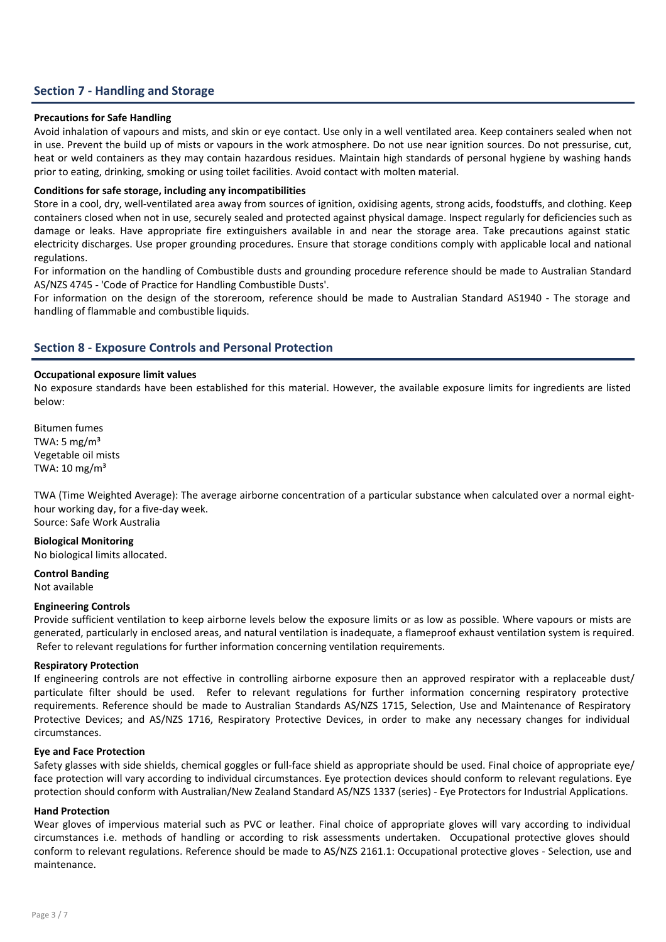# Section 7 - Handling and Storage

# Precautions for Safe Handling

Avoid inhalation of vapours and mists, and skin or eye contact. Use only in a well ventilated area. Keep containers sealed when not in use. Prevent the build up of mists or vapours in the work atmosphere. Do not use near ignition sources. Do not pressurise, cut, heat or weld containers as they may contain hazardous residues. Maintain high standards of personal hygiene by washing hands prior to eating, drinking, smoking or using toilet facilities. Avoid contact with molten material.

# Conditions for safe storage, including any incompatibilities

Store in a cool, dry, well-ventilated area away from sources of ignition, oxidising agents, strong acids, foodstuffs, and clothing. Keep containers closed when not in use, securely sealed and protected against physical damage. Inspect regularly for deficiencies such as damage or leaks. Have appropriate fire extinguishers available in and near the storage area. Take precautions against static electricity discharges. Use proper grounding procedures. Ensure that storage conditions comply with applicable local and national regulations.

For information on the handling of Combustible dusts and grounding procedure reference should be made to Australian Standard AS/NZS 4745 - 'Code of Practice for Handling Combustible Dusts'.

For information on the design of the storeroom, reference should be made to Australian Standard AS1940 - The storage and handling of flammable and combustible liquids.

# Section 8 - Exposure Controls and Personal Protection

### Occupational exposure limit values

No exposure standards have been established for this material. However, the available exposure limits for ingredients are listed below:

Bitumen fumes TWA: 5 mg/ $m<sup>3</sup>$ Vegetable oil mists TWA:  $10 \text{ mg/m}^3$ 

TWA (Time Weighted Average): The average airborne concentration of a particular substance when calculated over a normal eighthour working day, for a five-day week. Source: Safe Work Australia

# Biological Monitoring

No biological limits allocated.

Control Banding Not available

### Engineering Controls

Provide sufficient ventilation to keep airborne levels below the exposure limits or as low as possible. Where vapours or mists are generated, particularly in enclosed areas, and natural ventilation is inadequate, a flameproof exhaust ventilation system is required. Refer to relevant regulations for further information concerning ventilation requirements.

### Respiratory Protection

If engineering controls are not effective in controlling airborne exposure then an approved respirator with a replaceable dust/ particulate filter should be used. Refer to relevant regulations for further information concerning respiratory protective requirements. Reference should be made to Australian Standards AS/NZS 1715, Selection, Use and Maintenance of Respiratory Protective Devices; and AS/NZS 1716, Respiratory Protective Devices, in order to make any necessary changes for individual circumstances.

# Eye and Face Protection

Safety glasses with side shields, chemical goggles or full-face shield as appropriate should be used. Final choice of appropriate eye/ face protection will vary according to individual circumstances. Eye protection devices should conform to relevant regulations. Eye protection should conform with Australian/New Zealand Standard AS/NZS 1337 (series) - Eye Protectors for Industrial Applications.

### Hand Protection

Wear gloves of impervious material such as PVC or leather. Final choice of appropriate gloves will vary according to individual circumstances i.e. methods of handling or according to risk assessments undertaken. Occupational protective gloves should conform to relevant regulations. Reference should be made to AS/NZS 2161.1: Occupational protective gloves - Selection, use and maintenance.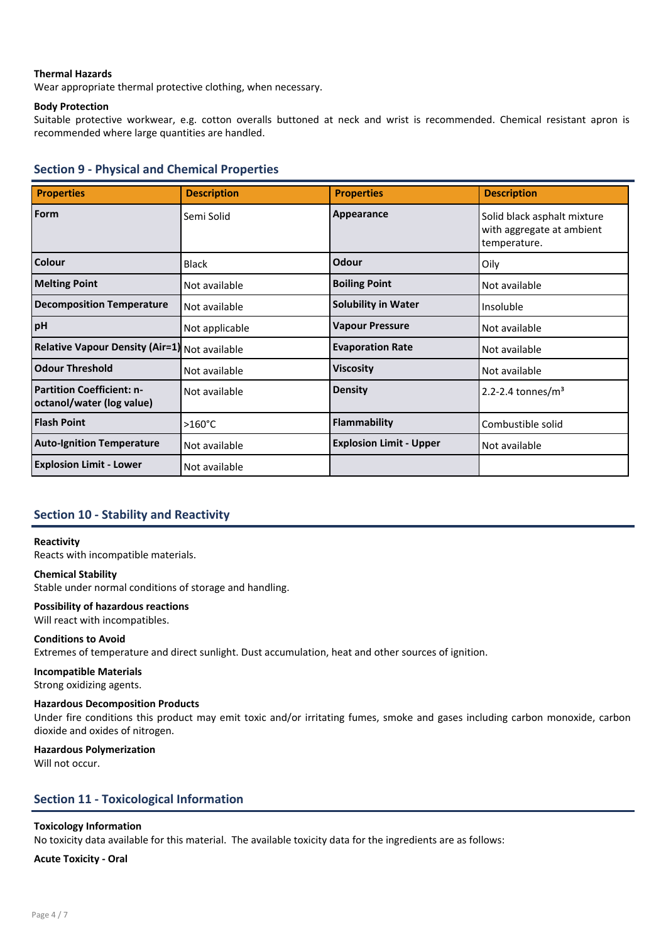# Thermal Hazards

Wear appropriate thermal protective clothing, when necessary.

# Body Protection

Suitable protective workwear, e.g. cotton overalls buttoned at neck and wrist is recommended. Chemical resistant apron is recommended where large quantities are handled.

# Section 9 - Physical and Chemical Properties

| <b>Properties</b>                                             | <b>Description</b> | <b>Properties</b>              | <b>Description</b>                                                       |
|---------------------------------------------------------------|--------------------|--------------------------------|--------------------------------------------------------------------------|
| Form                                                          | Semi Solid         | Appearance                     | Solid black asphalt mixture<br>with aggregate at ambient<br>temperature. |
| Colour                                                        | <b>Black</b>       | Odour                          | Oily                                                                     |
| <b>Melting Point</b>                                          | Not available      | <b>Boiling Point</b>           | Not available                                                            |
| <b>Decomposition Temperature</b>                              | Not available      | <b>Solubility in Water</b>     | Insoluble                                                                |
| pH                                                            | Not applicable     | <b>Vapour Pressure</b>         | Not available                                                            |
| Relative Vapour Density (Air=1) Not available                 |                    | <b>Evaporation Rate</b>        | Not available                                                            |
| <b>Odour Threshold</b>                                        | Not available      | <b>Viscosity</b>               | Not available                                                            |
| <b>Partition Coefficient: n-</b><br>octanol/water (log value) | Not available      | <b>Density</b>                 | $2.2 - 2.4$ tonnes/m <sup>3</sup>                                        |
| <b>Flash Point</b>                                            | $>160^{\circ}$ C   | <b>Flammability</b>            | Combustible solid                                                        |
| <b>Auto-Ignition Temperature</b>                              | Not available      | <b>Explosion Limit - Upper</b> | Not available                                                            |
| <b>Explosion Limit - Lower</b>                                | Not available      |                                |                                                                          |

# Section 10 - Stability and Reactivity

### Reactivity

Reacts with incompatible materials.

### Chemical Stability

Stable under normal conditions of storage and handling.

# Possibility of hazardous reactions

Will react with incompatibles.

# Conditions to Avoid

Extremes of temperature and direct sunlight. Dust accumulation, heat and other sources of ignition.

# Incompatible Materials

Strong oxidizing agents.

# Hazardous Decomposition Products

Under fire conditions this product may emit toxic and/or irritating fumes, smoke and gases including carbon monoxide, carbon dioxide and oxides of nitrogen.

### Hazardous Polymerization

Will not occur.

# Section 11 - Toxicological Information

# Toxicology Information

No toxicity data available for this material. The available toxicity data for the ingredients are as follows:

### Acute Toxicity - Oral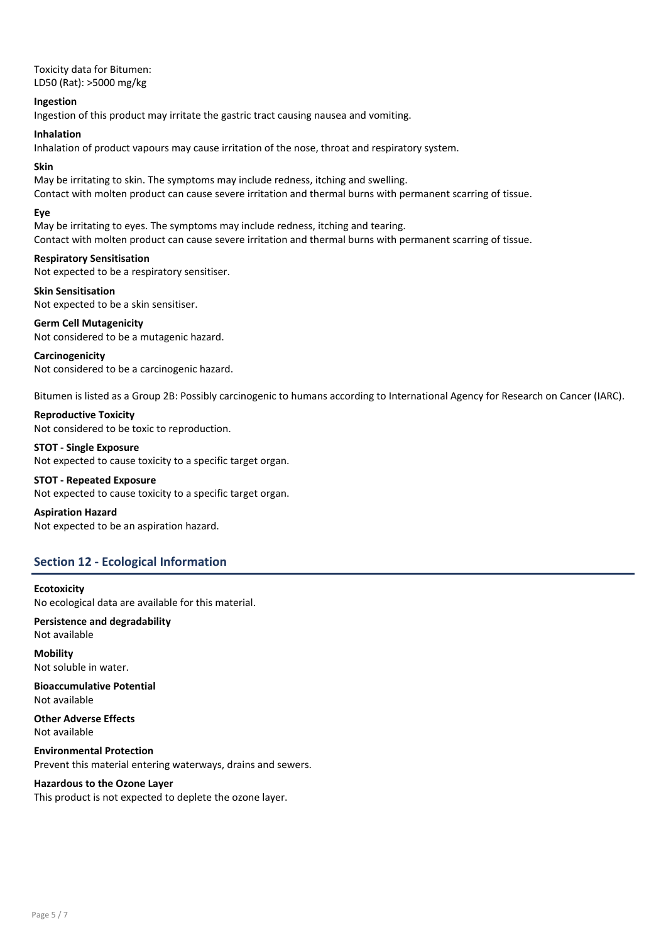Toxicity data for Bitumen: LD50 (Rat): >5000 mg/kg

### Ingestion

Ingestion of this product may irritate the gastric tract causing nausea and vomiting.

### Inhalation

Inhalation of product vapours may cause irritation of the nose, throat and respiratory system.

### Skin

May be irritating to skin. The symptoms may include redness, itching and swelling. Contact with molten product can cause severe irritation and thermal burns with permanent scarring of tissue.

### Eye

May be irritating to eyes. The symptoms may include redness, itching and tearing. Contact with molten product can cause severe irritation and thermal burns with permanent scarring of tissue.

# Respiratory Sensitisation

Not expected to be a respiratory sensitiser.

Skin Sensitisation Not expected to be a skin sensitiser.

Germ Cell Mutagenicity Not considered to be a mutagenic hazard.

### Carcinogenicity

Not considered to be a carcinogenic hazard.

Bitumen is listed as a Group 2B: Possibly carcinogenic to humans according to International Agency for Research on Cancer (IARC).

Reproductive Toxicity Not considered to be toxic to reproduction.

STOT - Single Exposure Not expected to cause toxicity to a specific target organ.

# STOT - Repeated Exposure

Not expected to cause toxicity to a specific target organ.

Aspiration Hazard

Not expected to be an aspiration hazard.

# Section 12 - Ecological Information

# **Ecotoxicity**

No ecological data are available for this material.

Persistence and degradability Not available

Mobility Not soluble in water.

Bioaccumulative Potential Not available

Other Adverse Effects Not available

Environmental Protection Prevent this material entering waterways, drains and sewers.

# Hazardous to the Ozone Layer

This product is not expected to deplete the ozone layer.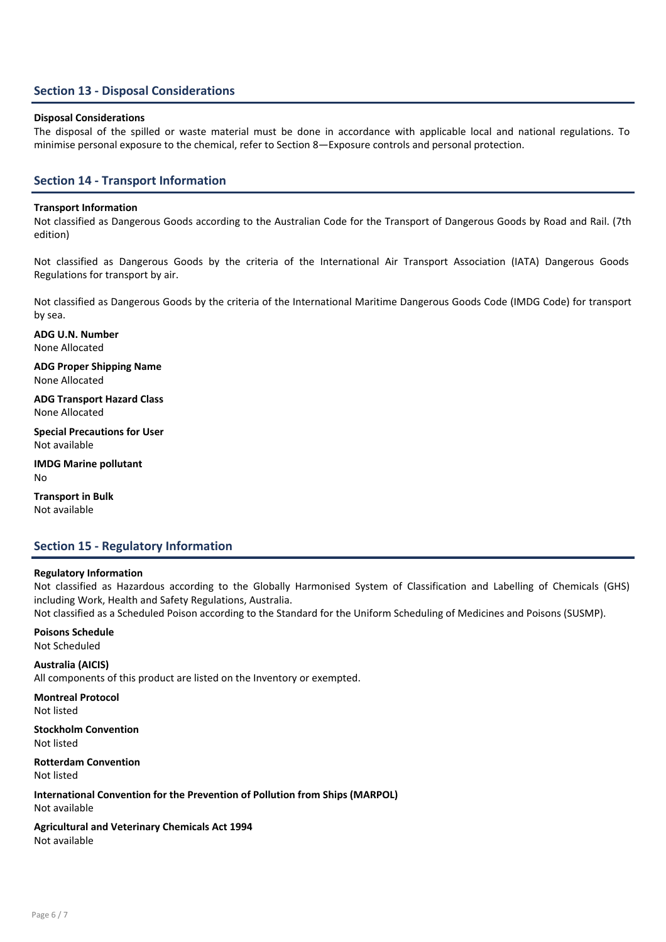# Section 13 - Disposal Considerations

### Disposal Considerations

The disposal of the spilled or waste material must be done in accordance with applicable local and national regulations. To minimise personal exposure to the chemical, refer to Section 8—Exposure controls and personal protection.

# Section 14 - Transport Information

### Transport Information

Not classified as Dangerous Goods according to the Australian Code for the Transport of Dangerous Goods by Road and Rail. (7th edition)

Not classified as Dangerous Goods by the criteria of the International Air Transport Association (IATA) Dangerous Goods Regulations for transport by air.

Not classified as Dangerous Goods by the criteria of the International Maritime Dangerous Goods Code (IMDG Code) for transport by sea.

ADG U.N. Number None Allocated

ADG Proper Shipping Name None Allocated

ADG Transport Hazard Class None Allocated

Special Precautions for User Not available

IMDG Marine pollutant No

Transport in Bulk Not available

# Section 15 - Regulatory Information

### Regulatory Information

Not classified as Hazardous according to the Globally Harmonised System of Classification and Labelling of Chemicals (GHS) including Work, Health and Safety Regulations, Australia.

Not classified as a Scheduled Poison according to the Standard for the Uniform Scheduling of Medicines and Poisons (SUSMP).

# Poisons Schedule

Not Scheduled

# Australia (AICIS)

All components of this product are listed on the Inventory or exempted.

Montreal Protocol

Not listed

Stockholm Convention Not listed

Rotterdam Convention Not listed

International Convention for the Prevention of Pollution from Ships (MARPOL) Not available

Agricultural and Veterinary Chemicals Act 1994 Not available